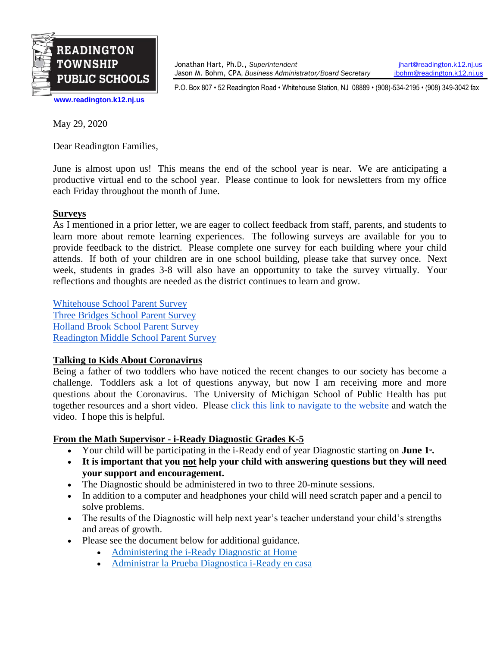

Jonathan Hart, Ph.D., *Superintendent* [jhart@readington.k12.nj.us](mailto:jhart@readington.k12.nj.us) Jason M. Bohm, CPA, *Business Administrator/Board Secretary* [jbohm@readington.k12.nj.us](mailto:jbohm@readington.k12.nj.us)

P.O. Box 807 • 52 Readington Road • Whitehouse Station, NJ 08889 • (908)-534-2195 • (908) 349-3042 fax

**[www.readington.k12.nj.us](http://www.readington.k12.nj.us/)**

May 29, 2020

Dear Readington Families,

June is almost upon us! This means the end of the school year is near. We are anticipating a productive virtual end to the school year. Please continue to look for newsletters from my office each Friday throughout the month of June.

## **Surveys**

As I mentioned in a prior letter, we are eager to collect feedback from staff, parents, and students to learn more about remote learning experiences. The following surveys are available for you to provide feedback to the district. Please complete one survey for each building where your child attends. If both of your children are in one school building, please take that survey once. Next week, students in grades 3-8 will also have an opportunity to take the survey virtually. Your reflections and thoughts are needed as the district continues to learn and grow.

[Whitehouse School Parent Survey](https://docs.google.com/forms/d/e/1FAIpQLSf3V7JNkEMWVgX6y97mMxurmA72BJn6KP5XXA4UhdeMOY9Jew/viewform?usp=sf_link) [Three Bridges School Parent Survey](https://docs.google.com/forms/d/e/1FAIpQLSdSBcqJmGyAjU9a3zgxUaBOBVszyfH3ejZ-Ua5-zIaroRnlug/viewform?usp=sf_link) [Holland Brook School Parent Survey](https://docs.google.com/forms/d/e/1FAIpQLSdRn7FDo3Ly305ZG7EEC3pCPgjZl0XUCQ6BKxwtdn1tMvz-Cg/viewform?usp=sf_link) [Readington Middle School Parent Survey](https://docs.google.com/forms/d/e/1FAIpQLSdWTWkkTFwpb6XdBcAutFvtAvi3c0v05n9G0yIztqTeOGOBCQ/viewform?usp=sf_link)

## **Talking to Kids About Coronavirus**

Being a father of two toddlers who have noticed the recent changes to our society has become a challenge. Toddlers ask a lot of questions anyway, but now I am receiving more and more questions about the Coronavirus. The University of Michigan School of Public Health has put together resources and a short video. Please [click this link to navigate to the website](https://publichealth.umich.edu/kidscovidresources/) and watch the video. I hope this is helpful.

## **From the Math Supervisor - i-Ready Diagnostic Grades K-5**

- Your child will be participating in the i-Ready end of year Diagnostic starting on **June 1**<sup>st</sup>.
- **It is important that you not help your child with answering questions but they will need your support and encouragement.**
- The Diagnostic should be administered in two to three 20-minute sessions.
- In addition to a computer and headphones your child will need scratch paper and a pencil to solve problems.
- The results of the Diagnostic will help next year's teacher understand your child's strengths and areas of growth.
- Please see the document below for additional guidance.
	- [Administering the i-Ready Diagnostic at Home](https://drive.google.com/open?id=1DoToPUFG7BGinNErN3fpkC3sdNcSI_AG)
	- [Administrar la Prueba Diagnostica i-Ready en casa](https://drive.google.com/open?id=1DzL_kpa-fW1sMhfPanUMnml3Wb0Q35Lb)